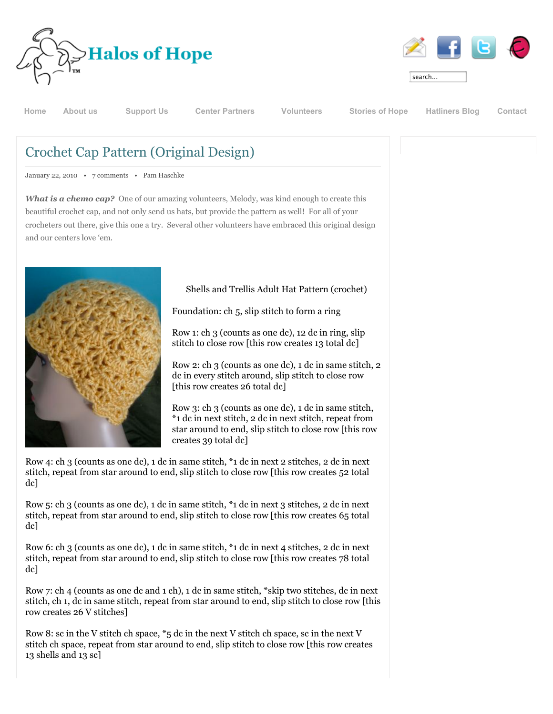



| searcn<br>. . |  |
|---------------|--|

**[Home](http://www.halosofhope.org/) [About us](http://www.halosofhope.org/about-us.html) [Support Us](http://www.halosofhope.org/support-us.html) [Center Partners](http://www.halosofhope.org/center-partners.html) [Volunteers](http://www.halosofhope.org/volunteers.html) [Stories of Hope](http://www.halosofhope.org/stories-of-hope.html) [Hatliners Blog](http://www.halosofhope.org/hatliners-blog.html) [Contact](http://www.halosofhope.org/contact-us.html)**

## Crochet Cap Pattern (Original Design)

January 22, 2010 • [7 comments](http://www.halosofhope.org/hatliners-blog/item/133-crochet-cap-pattern-original-design.html#itemCommentsAnchor) • Pam Haschke

*What is a chemo cap?* One of our amazing volunteers, Melody, was kind enough to create this beautiful crochet cap, and not only send us hats, but provide the pattern as well! For all of your crocheters out there, give this one a try. Several other volunteers have embraced this original design and our centers love 'em.



Shells and Trellis Adult Hat Pattern (crochet)

Foundation: ch 5, slip stitch to form a ring

Row 1: ch 3 (counts as one dc), 12 dc in ring, slip stitch to close row [this row creates 13 total dc]

Row 2: ch 3 (counts as one dc), 1 dc in same stitch, 2 dc in every stitch around, slip stitch to close row [this row creates 26 total dc]

Row 3: ch 3 (counts as one dc), 1 dc in same stitch, \*1 dc in next stitch, 2 dc in next stitch, repeat from star around to end, slip stitch to close row [this row creates 39 total dc]

Row 4: ch 3 (counts as one dc), 1 dc in same stitch, \*1 dc in next 2 stitches, 2 dc in next stitch, repeat from star around to end, slip stitch to close row [this row creates 52 total dc]

Row 5: ch 3 (counts as one dc), 1 dc in same stitch, \*1 dc in next 3 stitches, 2 dc in next stitch, repeat from star around to end, slip stitch to close row [this row creates 65 total dc]

Row 6: ch 3 (counts as one dc), 1 dc in same stitch, \*1 dc in next 4 stitches, 2 dc in next stitch, repeat from star around to end, slip stitch to close row [this row creates 78 total dc]

Row 7: ch 4 (counts as one dc and 1 ch), 1 dc in same stitch, \*skip two stitches, dc in next stitch, ch 1, dc in same stitch, repeat from star around to end, slip stitch to close row [this row creates 26 V stitches]

Row 8: sc in the V stitch ch space, \*5 dc in the next V stitch ch space, sc in the next V stitch ch space, repeat from star around to end, slip stitch to close row [this row creates 13 shells and 13 sc]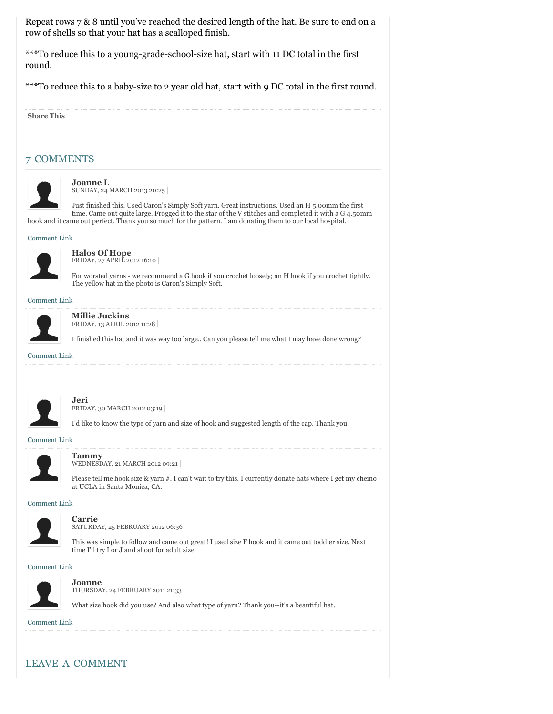Repeat rows 7 & 8 until you've reached the desired length of the hat. Be sure to end on a row of shells so that your hat has a scalloped finish.

\*\*\*To reduce this to a young-grade-school-size hat, start with 11 DC total in the first round.

\*\*\*To reduce this to a baby-size to 2 year old hat, start with 9 DC total in the first round.

| <b>Share This</b>   |                                                                                                                                                                                                                                                                                                                          |
|---------------------|--------------------------------------------------------------------------------------------------------------------------------------------------------------------------------------------------------------------------------------------------------------------------------------------------------------------------|
|                     |                                                                                                                                                                                                                                                                                                                          |
|                     | <b>COMMENTS</b>                                                                                                                                                                                                                                                                                                          |
|                     | <b>Joanne L</b><br>SUNDAY, 24 MARCH 2013 20:25                                                                                                                                                                                                                                                                           |
|                     | Just finished this. Used Caron's Simply Soft yarn. Great instructions. Used an H 5.00mm the first<br>time. Came out quite large. Frogged it to the star of the V stitches and completed it with a G 4.50mm<br>hook and it came out perfect. Thank you so much for the pattern. I am donating them to our local hospital. |
| <b>Comment Link</b> |                                                                                                                                                                                                                                                                                                                          |
|                     | <b>Halos Of Hope</b><br>FRIDAY, 27 APRIL 2012 16:10                                                                                                                                                                                                                                                                      |
|                     | For worsted yarns - we recommend a G hook if you crochet loosely; an H hook if you crochet tightly.<br>The yellow hat in the photo is Caron's Simply Soft.                                                                                                                                                               |
| <b>Comment Link</b> |                                                                                                                                                                                                                                                                                                                          |
|                     | <b>Millie Juckins</b><br>FRIDAY, 13 APRIL 2012 11:28                                                                                                                                                                                                                                                                     |
|                     | I finished this hat and it was way too large Can you please tell me what I may have done wrong?                                                                                                                                                                                                                          |
| <b>Comment Link</b> |                                                                                                                                                                                                                                                                                                                          |
|                     |                                                                                                                                                                                                                                                                                                                          |
|                     | Jeri<br>FRIDAY, 30 MARCH 2012 03:19                                                                                                                                                                                                                                                                                      |
|                     | I'd like to know the type of yarn and size of hook and suggested length of the cap. Thank you.                                                                                                                                                                                                                           |
| <b>Comment Link</b> |                                                                                                                                                                                                                                                                                                                          |
|                     | <b>Tammy</b><br>WEDNESDAY, 21 MARCH 2012 09:21                                                                                                                                                                                                                                                                           |
|                     | Please tell me hook size & yarn #. I can't wait to try this. I currently donate hats where I get my chemo<br>at UCLA in Santa Monica, CA.                                                                                                                                                                                |
| <b>Comment Link</b> |                                                                                                                                                                                                                                                                                                                          |
|                     | <b>Carrie</b><br>SATURDAY, 25 FEBRUARY 2012 06:36                                                                                                                                                                                                                                                                        |
|                     | This was simple to follow and came out great! I used size F hook and it came out toddler size. Next<br>time I'll try I or J and shoot for adult size                                                                                                                                                                     |
| <b>Comment Link</b> |                                                                                                                                                                                                                                                                                                                          |
|                     | Joanne<br>THURSDAY, 24 FEBRUARY 2011 21:33                                                                                                                                                                                                                                                                               |
|                     | What size hook did you use? And also what type of yarn? Thank you--it's a beautiful hat.                                                                                                                                                                                                                                 |

## LEAVE A COMMENT